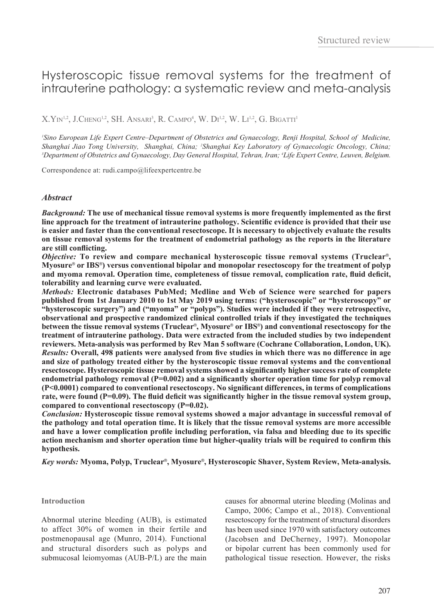# Hysteroscopic tissue removal systems for the treatment of intrauterine pathology: a systematic review and meta-analysis

 ${\rm X. Y}$ in<sup>1,2</sup>, J.Cheng<sup>1,2</sup>, SH. Ansari<sup>3</sup>, R. Campo<sup>4</sup>, W. Di<sup>1,2</sup>, W. Li<sup>1,2</sup>, G. Bigatti<sup>1</sup>

*1 Sino European Life Expert Centre–Department of Obstetrics and Gynaecology, Renji Hospital, School of Medicine, Shanghai Jiao Tong University, Shanghai, China; <sup>2</sup>Shanghai Key Laboratory of Gynaecologic Oncology, China; 33<br>2 Department of Obstetrics and Gynaecology, Day General Hospital, Tehran, Iran: 11 ife Expert Centre, Leuyen, Department of Obstetrics and Gynaecology, Day General Hospital, Tehran, Iran; 4 Life Expert Centre, Leuven, Belgium.*

Correspondence at: rudi.campo@lifeexpertcentre.be

## *Abstract*

*Background:* **The use of mechanical tissue removal systems is more frequently implemented as the first line approach for the treatment of intrauterine pathology. Scientific evidence is provided that their use is easier and faster than the conventional resectoscope. It is necessary to objectively evaluate the results on tissue removal systems for the treatment of endometrial pathology as the reports in the literature are still conflicting.**

*Objective:* **To review and compare mechanical hysteroscopic tissue removal systems (Truclear**®**, Myosure**® **or IBS**®**) versus conventional bipolar and monopolar resectoscopy for the treatment of polyp and myoma removal. Operation time, completeness of tissue removal, complication rate, fluid deficit, tolerability and learning curve were evaluated.**

*Methods:* **Electronic databases PubMed; Medline and Web of Science were searched for papers published from 1st January 2010 to 1st May 2019 using terms: ("hysteroscopic" or "hysteroscopy" or "hysteroscopic surgery") and ("myoma" or "polyps"). Studies were included if they were retrospective, observational and prospective randomized clinical controlled trials if they investigated the techniques between the tissue removal systems (Truclear**®**, Myosure**® **or IBS**®**) and conventional resectoscopy for the treatment of intrauterine pathology. Data were extracted from the included studies by two independent reviewers. Meta-analysis was performed by Rev Man 5 software (Cochrane Collaboration, London, UK).** *Results:* **Overall, 498 patients were analysed from five studies in which there was no difference in age and size of pathology treated either by the hysteroscopic tissue removal systems and the conventional resectoscope. Hysteroscopic tissue removal systems showed a significantly higher success rate of complete**  endometrial pathology removal (P=0.002) and a significantly shorter operation time for polyp removal **(P<0.0001) compared to conventional resectoscopy. No significant differences, in terms of complications**  rate, were found (P=0.09). The fluid deficit was significantly higher in the tissue removal system group, **compared to conventional resectoscopy (P=0.02).** 

*Conclusion:* **Hysteroscopic tissue removal systems showed a major advantage in successful removal of the pathology and total operation time. It is likely that the tissue removal systems are more accessible and have a lower complication profile including perforation, via falsa and bleeding due to its specific action mechanism and shorter operation time but higher-quality trials will be required to confirm this hypothesis.**

*Key words:* **Myoma, Polyp, Truclear**®**, Myosure**®**, Hysteroscopic Shaver, System Review, Meta-analysis.**

## **Introduction**

Abnormal uterine bleeding (AUB), is estimated to affect 30% of women in their fertile and postmenopausal age (Munro, 2014). Functional and structural disorders such as polyps and submucosal leiomyomas (AUB-P/L) are the main causes for abnormal uterine bleeding (Molinas and Campo, 2006; Campo et al., 2018). Conventional resectoscopy for the treatment of structural disorders has been used since 1970 with satisfactory outcomes (Jacobsen and DeCherney, 1997). Monopolar or bipolar current has been commonly used for pathological tissue resection. However, the risks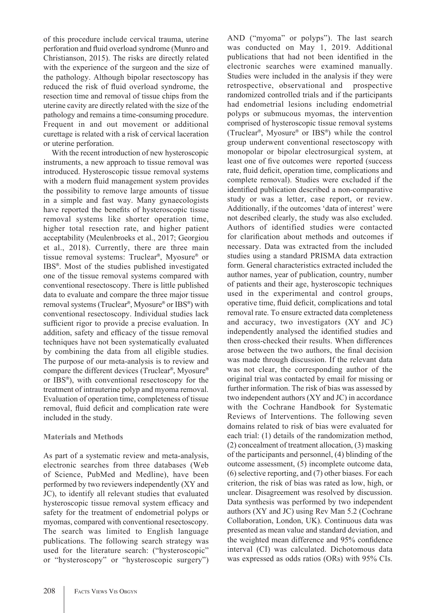of this procedure include cervical trauma, uterine perforation and fluid overload syndrome (Munro and Christianson, 2015). The risks are directly related with the experience of the surgeon and the size of the pathology. Although bipolar resectoscopy has reduced the risk of fluid overload syndrome, the resection time and removal of tissue chips from the uterine cavity are directly related with the size of the pathology and remains a time-consuming procedure. Frequent in and out movement or additional curettage is related with a risk of cervical laceration or uterine perforation.

With the recent introduction of new hysteroscopic instruments, a new approach to tissue removal was introduced. Hysteroscopic tissue removal systems with a modern fluid management system provides the possibility to remove large amounts of tissue in a simple and fast way. Many gynaecologists have reported the benefits of hysteroscopic tissue removal systems like shorter operation time, higher total resection rate, and higher patient acceptability (Meulenbroeks et al., 2017; Georgiou et al., 2018). Currently, there are three main tissue removal systems: Truclear®, Myosure® or IBS®. Most of the studies published investigated one of the tissue removal systems compared with conventional resectoscopy. There is little published data to evaluate and compare the three major tissue removal systems (Truclear®, Myosure® or IBS®) with conventional resectoscopy. Individual studies lack sufficient rigor to provide a precise evaluation. In addition, safety and efficacy of the tissue removal techniques have not been systematically evaluated by combining the data from all eligible studies. The purpose of our meta-analysis is to review and compare the different devices (Truclear®, Myosure® or IBS®), with conventional resectoscopy for the treatment of intrauterine polyp and myoma removal. Evaluation of operation time, completeness of tissue removal, fluid deficit and complication rate were included in the study.

# **Materials and Methods**

As part of a systematic review and meta-analysis, electronic searches from three databases (Web of Science, PubMed and Medline), have been performed by two reviewers independently (XY and JC), to identify all relevant studies that evaluated hysteroscopic tissue removal system efficacy and safety for the treatment of endometrial polyps or myomas, compared with conventional resectoscopy. The search was limited to English language publications. The following search strategy was used for the literature search: ("hysteroscopic" or "hysteroscopy" or "hysteroscopic surgery") was conducted on May 1, 2019. Additional publications that had not been identified in the electronic searches were examined manually. Studies were included in the analysis if they were retrospective, observational and prospective randomized controlled trials and if the participants had endometrial lesions including endometrial polyps or submucous myomas, the intervention comprised of hysteroscopic tissue removal systems (Truclear®, Myosure® or IBS®) while the control group underwent conventional resectoscopy with monopolar or bipolar electrosurgical system, at least one of five outcomes were reported (success rate, fluid deficit, operation time, complications and complete removal). Studies were excluded if the identified publication described a non-comparative study or was a letter, case report, or review. Additionally, if the outcomes 'data of interest' were not described clearly, the study was also excluded. Authors of identified studies were contacted for clarification about methods and outcomes if necessary. Data was extracted from the included studies using a standard PRISMA data extraction form. General characteristics extracted included the author names, year of publication, country, number of patients and their age, hysteroscopic techniques used in the experimental and control groups, operative time, fluid deficit, complications and total removal rate. To ensure extracted data completeness and accuracy, two investigators (XY and JC) independently analysed the identified studies and then cross-checked their results. When differences arose between the two authors, the final decision was made through discussion. If the relevant data was not clear, the corresponding author of the original trial was contacted by email for missing or further information. The risk of bias was assessed by two independent authors (XY and JC) in accordance with the Cochrane Handbook for Systematic Reviews of Interventions. The following seven domains related to risk of bias were evaluated for each trial: (1) details of the randomization method, (2) concealment of treatment allocation, (3) masking of the participants and personnel, (4) blinding of the outcome assessment, (5) incomplete outcome data, (6) selective reporting, and (7) other biases. For each criterion, the risk of bias was rated as low, high, or unclear. Disagreement was resolved by discussion. Data synthesis was performed by two independent authors (XY and JC) using Rev Man 5.2 (Cochrane Collaboration, London, UK). Continuous data was presented as mean value and standard deviation, and the weighted mean difference and 95% confidence interval (CI) was calculated. Dichotomous data was expressed as odds ratios (ORs) with 95% CIs.

AND ("myoma" or polyps"). The last search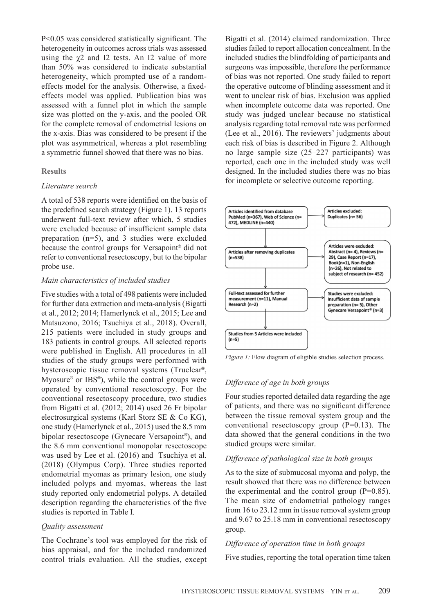P<0.05 was considered statistically significant. The heterogeneity in outcomes across trials was assessed using the  $\gamma$ 2 and I2 tests. An I2 value of more than 50% was considered to indicate substantial heterogeneity, which prompted use of a randomeffects model for the analysis. Otherwise, a fixedeffects model was applied. Publication bias was assessed with a funnel plot in which the sample size was plotted on the y-axis, and the pooled OR for the complete removal of endometrial lesions on the x-axis. Bias was considered to be present if the plot was asymmetrical, whereas a plot resembling a symmetric funnel showed that there was no bias.

#### **Results**

#### *Literature search*

A total of 538 reports were identified on the basis of the predefined search strategy (Figure 1). 13 reports underwent full-text review after which, 5 studies were excluded because of insufficient sample data preparation (n=5), and 3 studies were excluded because the control groups for Versapoint® did not refer to conventional resectoscopy, but to the bipolar probe use.

#### *Main characteristics of included studies*

Five studies with a total of 498 patients were included for further data extraction and meta-analysis (Bigatti et al., 2012; 2014; Hamerlynck et al., 2015; Lee and Matsuzono, 2016; Tsuchiya et al., 2018). Overall, 215 patients were included in study groups and 183 patients in control groups. All selected reports were published in English. All procedures in all studies of the study groups were performed with hysteroscopic tissue removal systems (Truclear®, Myosure<sup>®</sup> or IBS<sup>®</sup>), while the control groups were operated by conventional resectoscopy. For the conventional resectoscopy procedure, two studies from Bigatti et al. (2012; 2014) used 26 Fr bipolar electrosurgical systems (Karl Storz SE & Co KG), one study (Hamerlynck et al., 2015) used the 8.5 mm bipolar resectoscope (Gynecare Versapoint®), and the 8.6 mm conventional monopolar resectoscope was used by Lee et al. (2016) and Tsuchiya et al. (2018) (Olympus Corp). Three studies reported endometrial myomas as primary lesion, one study included polyps and myomas, whereas the last study reported only endometrial polyps. A detailed description regarding the characteristics of the five studies is reported in Table I.

## *Quality assessment*

The Cochrane's tool was employed for the risk of bias appraisal, and for the included randomized control trials evaluation. All the studies, except Bigatti et al. (2014) claimed randomization. Three studies failed to report allocation concealment. In the included studies the blindfolding of participants and surgeons was impossible, therefore the performance of bias was not reported. One study failed to report the operative outcome of blinding assessment and it went to unclear risk of bias. Exclusion was applied when incomplete outcome data was reported. One study was judged unclear because no statistical analysis regarding total removal rate was performed (Lee et al., 2016). The reviewers' judgments about each risk of bias is described in Figure 2. Although no large sample size (25–227 participants) was reported, each one in the included study was well designed. In the included studies there was no bias for incomplete or selective outcome reporting.



*Figure 1:* Flow diagram of eligible studies selection process.

## *Difference of age in both groups*

Four studies reported detailed data regarding the age of patients, and there was no significant difference between the tissue removal system group and the conventional resectoscopy group (P=0.13). The data showed that the general conditions in the two studied groups were similar.

## *Difference of pathological size in both groups*

As to the size of submucosal myoma and polyp, the result showed that there was no difference between the experimental and the control group  $(P=0.85)$ . The mean size of endometrial pathology ranges from 16 to 23.12 mm in tissue removal system group and 9.67 to 25.18 mm in conventional resectoscopy group.

#### *Difference of operation time in both groups*

Five studies, reporting the total operation time taken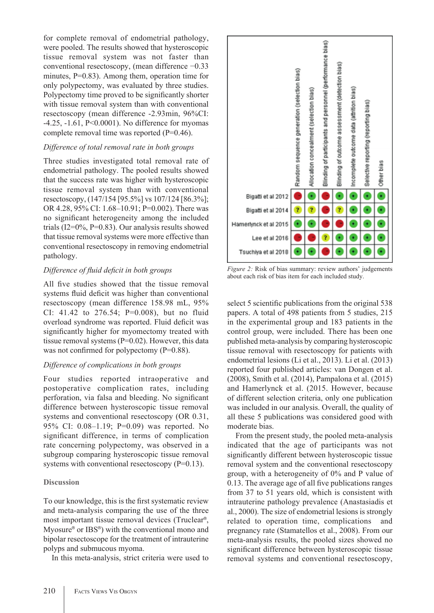for complete removal of endometrial pathology, were pooled. The results showed that hysteroscopic tissue removal system was not faster than conventional resectoscopy, (mean difference −0.33 minutes, P=0.83). Among them, operation time for only polypectomy, was evaluated by three studies. Polypectomy time proved to be significantly shorter with tissue removal system than with conventional resectoscopy (mean difference -2.93min, 96%CI: -4.25, -1.61, P<0.0001). No difference for myomas complete removal time was reported (P=0.46).

# *Difference of total removal rate in both groups*

Three studies investigated total removal rate of endometrial pathology. The pooled results showed that the success rate was higher with hysteroscopic tissue removal system than with conventional resectoscopy, (147/154 [95.5%] vs 107/124 [86.3%]; OR 4.28, 95% CI: 1.68–10.91; P=0.002). There was no significant heterogeneity among the included trials  $(I2=0\%, P=0.83)$ . Our analysis results showed that tissue removal systems were more effective than conventional resectoscopy in removing endometrial pathology.

# *Difference of fluid deficit in both groups*

All five studies showed that the tissue removal systems fluid deficit was higher than conventional resectoscopy (mean difference 158.98 mL, 95% CI: 41.42 to 276.54; P=0.008), but no fluid overload syndrome was reported. Fluid deficit was significantly higher for myomectomy treated with tissue removal systems  $(P=0.02)$ . However, this data was not confirmed for polypectomy (P=0.88).

# *Difference of complications in both groups*

Four studies reported intraoperative and postoperative complication rates, including perforation, via falsa and bleeding. No significant difference between hysteroscopic tissue removal systems and conventional resectoscopy (OR 0.31, 95% CI: 0.08–1.19; P=0.09) was reported. No significant difference, in terms of complication rate concerning polypectomy, was observed in a subgroup comparing hysteroscopic tissue removal systems with conventional resectoscopy  $(P=0.13)$ .

# **Discussion**

To our knowledge, this is the first systematic review and meta-analysis comparing the use of the three most important tissue removal devices (Truclear®, Myosure® or IBS®) with the conventional mono and bipolar resectoscope for the treatment of intrauterine polyps and submucous myoma.

In this meta-analysis, strict criteria were used to



*Figure 2:* Risk of bias summary: review authors' judgements about each risk of bias item for each included study.

select 5 scientific publications from the original 538 papers. A total of 498 patients from 5 studies, 215 in the experimental group and 183 patients in the control group, were included. There has been one published meta-analysis by comparing hysteroscopic tissue removal with resectoscopy for patients with endometrial lesions (Li et al., 2013). Li et al. (2013) reported four published articles: van Dongen et al. (2008), Smith et al. (2014), Pampalona et al. (2015) and Hamerlynck et al. (2015. However, because of different selection criteria, only one publication was included in our analysis. Overall, the quality of all these 5 publications was considered good with moderate bias.

From the present study, the pooled meta-analysis indicated that the age of participants was not significantly different between hysteroscopic tissue removal system and the conventional resectoscopy group, with a heterogeneity of 0% and P value of 0.13. The average age of all five publications ranges from 37 to 51 years old, which is consistent with intrauterine pathology prevalence (Anastasiadis et al., 2000). The size of endometrial lesions is strongly related to operation time, complications and pregnancy rate (Stamatellos et al., 2008). From our meta-analysis results, the pooled sizes showed no significant difference between hysteroscopic tissue removal systems and conventional resectoscopy,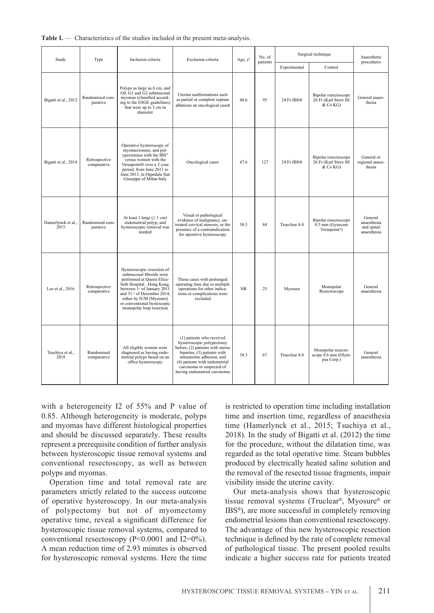| Study                      | Type                         | Inclusion criteria                                                                                                                                                                                                                                                                      | Exclusion criteria                                                                                                                                                                                                                                    | Age, $y^b$ | No. of<br>patients | Surgical technique |                                                                       | Anaesthetic                                         |
|----------------------------|------------------------------|-----------------------------------------------------------------------------------------------------------------------------------------------------------------------------------------------------------------------------------------------------------------------------------------|-------------------------------------------------------------------------------------------------------------------------------------------------------------------------------------------------------------------------------------------------------|------------|--------------------|--------------------|-----------------------------------------------------------------------|-----------------------------------------------------|
|                            |                              |                                                                                                                                                                                                                                                                                         |                                                                                                                                                                                                                                                       |            |                    | Experimental       | Control                                                               | procedures                                          |
| Bigatti et al., 2012       | Randomized com-<br>parative  | Polyps as large as 6 cm, and<br>G0, G1 and G2 submucosal<br>myomas (classified accord-<br>ing to the ESGE guidelines)<br>that were up to 3 cm in<br>diameter                                                                                                                            | Uterine malformations such<br>as partial or complete septum<br>ablations an oncological caseS                                                                                                                                                         | 48.6       | 95                 | 24 Fr IBS®         | Bipolar resectoscope<br>26 Fr (Karl Storz SE<br>& Co KG)              | General anaes-<br>thesia                            |
| Bigatti et al., 2014       | Retrospective<br>comparative | Operative hysteroscopy of<br>myomectomies, and pol-<br>vpectomies with the IBS®<br>versus women with the<br>Versapoint® over a 2-vear<br>period, from June 2011 to<br>June 2013, in Ospedale San<br>Giuseppe of Milan-Italy                                                             | Oncological cases                                                                                                                                                                                                                                     | 47.6       | 127                | 24 Fr IBS®         | Bipolar resectoscope<br>26 Fr (Karl Storz SE<br>& Co KG)              | General or<br>regional anaes-<br>thesia             |
| Hamerlynck et al.,<br>2015 | Randomised com-<br>parative  | At least 1 large $(\geq 1$ cm)<br>endometrial polyp, and<br>hysteroscopic removal was<br>needed                                                                                                                                                                                         | Visual or pathological<br>evidence of malignancy, un-<br>treated cervical stenosis, or the<br>presence of a contraindication<br>for operative hysteroscopy                                                                                            | 50.5       | 84                 | Trueclear 8.0      | Bipolar resectoscope<br>8.5 mm (Gynecare<br>Versapoint <sup>®</sup> ) | General<br>anaesthesia<br>and spinal<br>anaesthesia |
| Lee et al., 2016           | Retrospective<br>comparative | Hysteroscopic resection of<br>submucosal fibroids were<br>performed at Queen Eliza-<br>beth Hospital, Hong Kong,<br>between 1 <sup>st</sup> of January 2011<br>and 31 $\degree$ of December 2014,<br>either by IUM (Myosure)<br>or conventional hystescopic<br>monopolar loop resection | Those cases with prolonged<br>operating time due to multiple<br>operations for other indica-<br>tions or complications were<br>excluded                                                                                                               | <b>NR</b>  | 25                 | Myosure            | Monopolar<br>Resectoscope                                             | General<br>anaesthesia                              |
| Tsuchiya et al.,<br>2018   | Randomised<br>comparative    | All eligible women were<br>diagnosed as having endo-<br>metrial polyps based on an<br>office hysteroscopy                                                                                                                                                                               | (1) patients who received<br>hysteroscopic polypectomy<br>before, (2) patients with uterus<br>bipartus, (3) patients with<br>intrauterine adhesion, and<br>(4) patients with endometrial<br>carcinoma or suspected of<br>having endometrial carcinoma | 38.3       | 67                 | Trueclear 8.0      | Monopolar resecto-<br>scope 8.6 mm (Olym-<br>pus Corp.)               | General<br>anaesthesia                              |

Table **I.** — Characteristics of the studies included in the present meta-analysis.

with a heterogeneity I2 of 55% and P value of 0.85. Although heterogeneity is moderate, polyps and myomas have different histological properties and should be discussed separately. These results represent a prerequisite condition of further analysis between hysteroscopic tissue removal systems and conventional resectoscopy, as well as between polyps and myomas.

Operation time and total removal rate are parameters strictly related to the success outcome of operative hysteroscopy. In our meta-analysis of polypectomy but not of myomectomy operative time, reveal a significant difference for hysteroscopic tissue removal systems, compared to conventional resectoscopy (P<0.0001 and I2=0%). A mean reduction time of 2.93 minutes is observed for hysteroscopic removal systems. Here the time is restricted to operation time including installation time and insertion time, regardless of anaesthesia time (Hamerlynck et al., 2015; Tsuchiya et al., 2018). In the study of Bigatti et al. (2012) the time for the procedure, without the dilatation time, was regarded as the total operative time. Steam bubbles produced by electrically heated saline solution and the removal of the resected tissue fragments, impair visibility inside the uterine cavity.

Our meta-analysis shows that hysteroscopic tissue removal systems (Truclear®, Myosure® or IBS®), are more successful in completely removing endometrial lesions than conventional resectoscopy. The advantage of this new hysteroscopic resection technique is defined by the rate of complete removal of pathological tissue. The present pooled results indicate a higher success rate for patients treated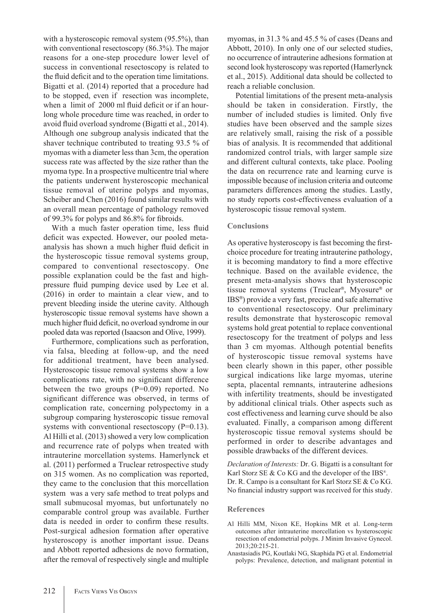with a hysteroscopic removal system (95.5%), than with conventional resectoscopy (86.3%). The major reasons for a one-step procedure lower level of success in conventional resectoscopy is related to the fluid deficit and to the operation time limitations. Bigatti et al. (2014) reported that a procedure had to be stopped, even if resection was incomplete, when a limit of 2000 ml fluid deficit or if an hourlong whole procedure time was reached, in order to avoid fluid overload syndrome (Bigatti et al., 2014). Although one subgroup analysis indicated that the shaver technique contributed to treating 93.5 % of myomas with a diameter less than 3cm, the operation success rate was affected by the size rather than the myoma type. In a prospective multicentre trial where the patients underwent hysteroscopic mechanical tissue removal of uterine polyps and myomas, Scheiber and Chen (2016) found similar results with an overall mean percentage of pathology removed of 99.3% for polyps and 86.8% for fibroids.

With a much faster operation time, less fluid deficit was expected. However, our pooled metaanalysis has shown a much higher fluid deficit in the hysteroscopic tissue removal systems group, compared to conventional resectoscopy. One possible explanation could be the fast and highpressure fluid pumping device used by Lee et al. (2016) in order to maintain a clear view, and to prevent bleeding inside the uterine cavity. Although hysteroscopic tissue removal systems have shown a much higher fluid deficit, no overload syndrome in our pooled data was reported (Isaacson and Olive, 1999).

Furthermore, complications such as perforation, via falsa, bleeding at follow-up, and the need for additional treatment, have been analysed. Hysteroscopic tissue removal systems show a low complications rate, with no significant difference between the two groups  $(P=0.09)$  reported. No significant difference was observed, in terms of complication rate, concerning polypectomy in a subgroup comparing hysteroscopic tissue removal systems with conventional resectoscopy  $(P=0.13)$ . Al Hilli et al. (2013) showed a very low complication and recurrence rate of polyps when treated with intrauterine morcellation systems. Hamerlynck et al. (2011) performed a Truclear retrospective study on 315 women. As no complication was reported, they came to the conclusion that this morcellation system was a very safe method to treat polyps and small submucosal myomas, but unfortunately no comparable control group was available. Further data is needed in order to confirm these results. Post-surgical adhesion formation after operative hysteroscopy is another important issue. Deans and Abbott reported adhesions de novo formation, after the removal of respectively single and multiple

myomas, in 31.3 % and 45.5 % of cases (Deans and Abbott, 2010). In only one of our selected studies, no occurrence of intrauterine adhesions formation at second look hysteroscopy was reported (Hamerlynck et al., 2015). Additional data should be collected to reach a reliable conclusion.

Potential limitations of the present meta-analysis should be taken in consideration. Firstly, the number of included studies is limited. Only five studies have been observed and the sample sizes are relatively small, raising the risk of a possible bias of analysis. It is recommended that additional randomized control trials, with larger sample size and different cultural contexts, take place. Pooling the data on recurrence rate and learning curve is impossible because of inclusion criteria and outcome parameters differences among the studies. Lastly, no study reports cost-effectiveness evaluation of a hysteroscopic tissue removal system.

## **Conclusions**

As operative hysteroscopy is fast becoming the firstchoice procedure for treating intrauterine pathology, it is becoming mandatory to find a more effective technique. Based on the available evidence, the present meta-analysis shows that hysteroscopic tissue removal systems (Truclear®, Myosure® or IBS®) provide a very fast, precise and safe alternative to conventional resectoscopy. Our preliminary results demonstrate that hysteroscopic removal systems hold great potential to replace conventional resectoscopy for the treatment of polyps and less than 3 cm myomas. Although potential benefits of hysteroscopic tissue removal systems have been clearly shown in this paper, other possible surgical indications like large myomas, uterine septa, placental remnants, intrauterine adhesions with infertility treatments, should be investigated by additional clinical trials. Other aspects such as cost effectiveness and learning curve should be also evaluated. Finally, a comparison among different hysteroscopic tissue removal systems should be performed in order to describe advantages and possible drawbacks of the different devices.

*Declaration of Interests:* Dr. G. Bigatti is a consultant for Karl Storz SE & Co KG and the developer of the IBS®. Dr. R. Campo is a consultant for Karl Storz SE & Co KG. No financial industry support was received for this study.

#### **References**

- Al Hilli MM, Nixon KE, Hopkins MR et al. Long-term outcomes after intrauterine morcellation vs hysteroscopic resection of endometrial polyps. J Minim Invasive Gynecol. 2013;20:215-21.
- Anastasiadis PG, Koutlaki NG, Skaphida PG et al. Endometrial polyps: Prevalence, detection, and malignant potential in